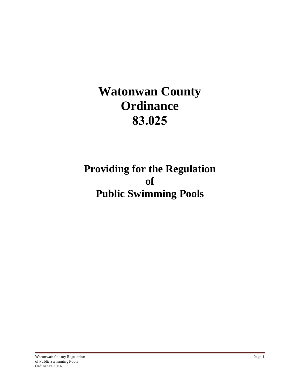# **Watonwan County Ordinance 83.025**

# **Providing for the Regulation of Public Swimming Pools**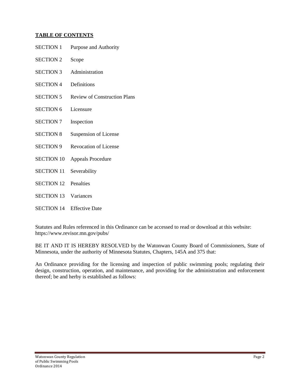## **TABLE OF CONTENTS**

| <b>SECTION 1</b>  | Purpose and Authority               |
|-------------------|-------------------------------------|
| <b>SECTION 2</b>  | Scope                               |
| <b>SECTION 3</b>  | Administration                      |
| <b>SECTION 4</b>  | Definitions                         |
| <b>SECTION 5</b>  | <b>Review of Construction Plans</b> |
| <b>SECTION 6</b>  | Licensure                           |
| <b>SECTION 7</b>  | Inspection                          |
| <b>SECTION 8</b>  | Suspension of License               |
| <b>SECTION 9</b>  | <b>Revocation of License</b>        |
| <b>SECTION 10</b> | <b>Appeals Procedure</b>            |
| <b>SECTION 11</b> | Severability                        |
| <b>SECTION 12</b> | Penalties                           |
| <b>SECTION 13</b> | Variances                           |
| <b>SECTION 14</b> | <b>Effective Date</b>               |

Statutes and Rules referenced in this Ordinance can be accessed to read or download at this website: https://www.revisor.mn.gov/pubs/

BE IT AND IT IS HEREBY RESOLVED by the Watonwan County Board of Commissioners, State of Minnesota, under the authority of Minnesota Statutes, Chapters, 145A and 375 that:

An Ordinance providing for the licensing and inspection of public swimming pools; regulating their design, construction, operation, and maintenance, and providing for the administration and enforcement thereof; be and herby is established as follows: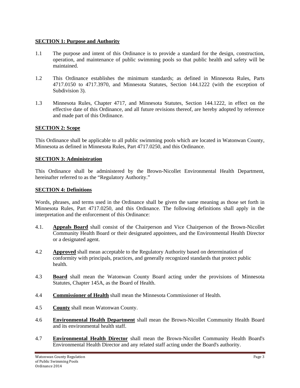#### **SECTION 1: Purpose and Authority**

- 1.1 The purpose and intent of this Ordinance is to provide a standard for the design, construction, operation, and maintenance of public swimming pools so that public health and safety will be maintained.
- 1.2 This Ordinance establishes the minimum standards; as defined in Minnesota Rules, Parts 4717.0150 to 4717.3970, and Minnesota Statutes, Section 144.1222 (with the exception of Subdivision 3).
- 1.3 Minnesota Rules, Chapter 4717, and Minnesota Statutes, Section 144.1222, in effect on the effective date of this Ordinance, and all future revisions thereof, are hereby adopted by reference and made part of this Ordinance.

#### **SECTION 2: Scope**

This Ordinance shall be applicable to all public swimming pools which are located in Watonwan County, Minnesota as defined in Minnesota Rules, Part 4717.0250, and this Ordinance.

#### **SECTION 3: Administration**

This Ordinance shall be administered by the Brown-Nicollet Environmental Health Department, hereinafter referred to as the "Regulatory Authority."

#### **SECTION 4: Definitions**

Words, phrases, and terms used in the Ordinance shall be given the same meaning as those set forth in Minnesota Rules, Part 4717.0250, and this Ordinance. The following definitions shall apply in the interpretation and the enforcement of this Ordinance:

- 4.1. **Appeals Board** shall consist of the Chairperson and Vice Chairperson of the Brown-Nicollet Community Health Board or their designated appointees, and the Environmental Health Director or a designated agent.
- 4.2 **Approved** shall mean acceptable to the Regulatory Authority based on determination of conformity with principals, practices, and generally recognized standards that protect public health.
- 4.3 **Board** shall mean the Watonwan County Board acting under the provisions of Minnesota Statutes, Chapter 145A, as the Board of Health.
- 4.4 **Commissioner of Health** shall mean the Minnesota Commissioner of Health.
- 4.5 **County** shall mean Watonwan County.
- 4.6 **Environmental Health Department** shall mean the Brown-Nicollet Community Health Board and its environmental health staff.
- 4.7 **Environmental Health Director** shall mean the Brown-Nicollet Community Health Board's Environmental Health Director and any related staff acting under the Board's authority.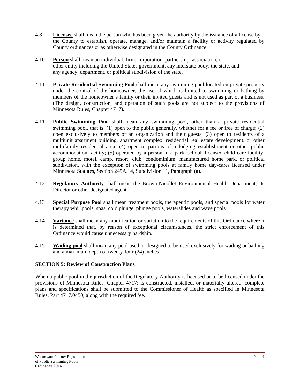- 4.8 **Licensee** shall mean the person who has been given the authority by the issuance of a license by the County to establish, operate, manage, and/or maintain a facility or activity regulated by County ordinances or as otherwise designated in the County Ordinance.
- 4.10 **Person** shall mean an individual, firm, corporation, partnership, association, or other entity including the United States government, any interstate body, the state, and any agency, department, or political subdivision of the state.
- 4.11 **Private Residential Swimming Pool** shall mean any swimming pool located on private property under the control of the homeowner, the use of which is limited to swimming or bathing by members of the homeowner's family or their invited guests and is not used as part of a business. (The design, construction, and operation of such pools are not subject to the provisions of Minnesota Rules, Chapter 4717).
- 4.11 **Public Swimming Pool** shall mean any swimming pool, other than a private residential swimming pool, that is: (1) open to the public generally, whether for a fee or free of charge; (2) open exclusively to members of an organization and their guests; (3) open to residents of a multiunit apartment building, apartment complex, residential real estate development, or other multifamily residential area; (4) open to patrons of a lodging establishment or other public accommodation facility; (5) operated by a person in a park, school, licensed child care facility, group home, motel, camp, resort, club, condominium, manufactured home park, or political subdivision, with the exception of swimming pools at family home day-cares licensed under Minnesota Statutes, Section 245A.14, Subdivision 11, Paragraph (a).
- 4.12 **Regulatory Authority** shall mean the Brown-Nicollet Environmental Health Department, its Director or other designated agent.
- 4.13 **Special Purpose Pool** shall mean treatment pools, therapeutic pools, and special pools for water therapy whirlpools, spas, cold plunge, plunge pools, waterslides and wave pools.
- 4.14 **Variance** shall mean any modification or variation to the requirements of this Ordinance where it is determined that, by reason of exceptional circumstances, the strict enforcement of this Ordinance would cause unnecessary hardship.
- 4.15 **Wading pool** shall mean any pool used or designed to be used exclusively for wading or bathing and a maximum depth of twenty-four (24) inches.

#### **SECTION 5: Review of Construction Plans**

When a public pool in the jurisdiction of the Regulatory Authority is licensed or to be licensed under the provisions of Minnesota Rules, Chapter 4717; is constructed, installed, or materially altered, complete plans and specifications shall be submitted to the Commissioner of Health as specified in Minnesota Rules, Part 4717.0450, along with the required fee.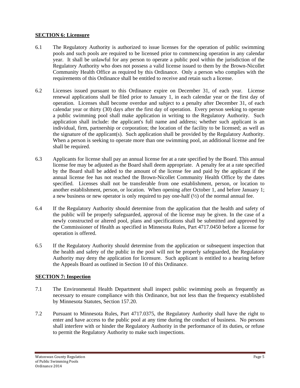# **SECTION 6: Licensure**

- 6.1The Regulatory Authority is authorized to issue licenses for the operation of public swimming pools and such pools are required to be licensed prior to commencing operation in any calendar year. It shall be unlawful for any person to operate a public pool within the jurisdiction of the Regulatory Authority who does not possess a valid license issued to them by the Brown-Nicollet Community Health Office as required by this Ordinance. Only a person who complies with the requirements of this Ordinance shall be entitled to receive and retain such a license.
- 6.2 Licenses issued pursuant to this Ordinance expire on December 31, of each year. License renewal applications shall be filed prior to January 1, in each calendar year or the first day of operation. Licenses shall become overdue and subject to a penalty after December 31, of each calendar year or thirty (30) days after the first day of operation. Every person seeking to operate a public swimming pool shall make application in writing to the Regulatory Authority. Such application shall include: the applicant's full name and address; whether such applicant is an individual, firm, partnership or corporation; the location of the facility to be licensed; as well as the signature of the applicant(s). Such application shall be provided by the Regulatory Authority. When a person is seeking to operate more than one swimming pool, an additional license and fee shall be required.
- 6.3 Applicants for license shall pay an annual license fee at a rate specified by the Board. This annual license fee may be adjusted as the Board shall deem appropriate. A penalty fee at a rate specified by the Board shall be added to the amount of the license fee and paid by the applicant if the annual license fee has not reached the Brown-Nicollet Community Health Office by the dates specified. Licenses shall not be transferable from one establishment, person, or location to another establishment, person, or location. When opening after October 1, and before January 1; a new business or new operator is only required to pay one-half (½) of the normal annual fee.
- 6.4 If the Regulatory Authority should determine from the application that the health and safety of the public will be properly safeguarded, approval of the license may be given. In the case of a newly constructed or altered pool, plans and specifications shall be submitted and approved by the Commissioner of Health as specified in Minnesota Rules, Part 4717.0450 before a license for operation is offered.
- 6.5 If the Regulatory Authority should determine from the application or subsequent inspection that the health and safety of the public in the pool will not be properly safeguarded, the Regulatory Authority may deny the application for licensure. Such applicant is entitled to a hearing before the Appeals Board as outlined in Section 10 of this Ordinance.

#### **SECTION 7: Inspection**

- 7.1 The Environmental Health Department shall inspect public swimming pools as frequently as necessary to ensure compliance with this Ordinance, but not less than the frequency established by Minnesota Statutes, Section 157.20.
- 7.2 Pursuant to Minnesota Rules, Part 4717.0375, the Regulatory Authority shall have the right to enter and have access to the public pool at any time during the conduct of business. No persons shall interfere with or hinder the Regulatory Authority in the performance of its duties, or refuse to permit the Regulatory Authority to make such inspections.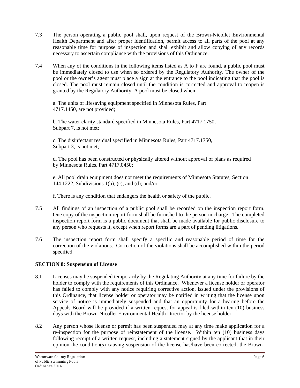- 7.3 The person operating a public pool shall, upon request of the Brown-Nicollet Environmental Health Department and after proper identification, permit access to all parts of the pool at any reasonable time for purpose of inspection and shall exhibit and allow copying of any records necessary to ascertain compliance with the provisions of this Ordinance.
- 7.4 When any of the conditions in the following items listed as A to F are found, a public pool must be immediately closed to use when so ordered by the Regulatory Authority. The owner of the pool or the owner's agent must place a sign at the entrance to the pool indicating that the pool is closed. The pool must remain closed until the condition is corrected and approval to reopen is granted by the Regulatory Authority. A pool must be closed when:

a. The units of lifesaving equipment specified in Minnesota Rules, Part 4717.1450, are not provided;

b. The water clarity standard specified in Minnesota Rules, Part 4717.1750, Subpart 7, is not met;

c. The disinfectant residual specified in Minnesota Rules, Part 4717.1750, Subpart 3, is not met;

d. The pool has been constructed or physically altered without approval of plans as required by Minnesota Rules, Part 4717.0450;

e. All pool drain equipment does not meet the requirements of Minnesota Statutes, Section 144.1222, Subdivisions 1(b), (c), and (d); and/or

f. There is any condition that endangers the health or safety of the public.

- 7.5 All findings of an inspection of a public pool shall be recorded on the inspection report form. One copy of the inspection report form shall be furnished to the person in charge. The completed inspection report form is a public document that shall be made available for public disclosure to any person who requests it, except when report forms are a part of pending litigations.
- 7.6 The inspection report form shall specify a specific and reasonable period of time for the correction of the violations. Correction of the violations shall be accomplished within the period specified.

# **SECTION 8: Suspension of License**

- 8.1 Licenses may be suspended temporarily by the Regulating Authority at any time for failure by the holder to comply with the requirements of this Ordinance. Whenever a license holder or operator has failed to comply with any notice requiring corrective action, issued under the provisions of this Ordinance, that license holder or operator may be notified in writing that the license upon service of notice is immediately suspended and that an opportunity for a hearing before the Appeals Board will be provided if a written request for appeal is filed within ten (10) business days with the Brown-Nicollet Environmental Health Director by the license holder.
- 8.2 Any person whose license or permit has been suspended may at any time make application for a re-inspection for the purpose of reinstatement of the license. Within ten (10) business days following receipt of a written request, including a statement signed by the applicant that in their opinion the condition(s) causing suspension of the license has/have been corrected, the Brown-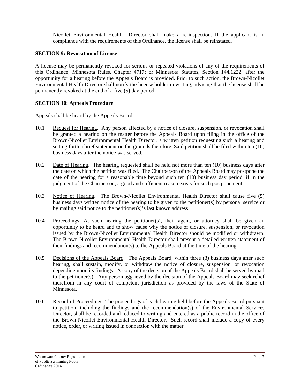Nicollet Environmental Health Director shall make a re-inspection. If the applicant is in compliance with the requirements of this Ordinance, the license shall be reinstated.

#### **SECTION 9: Revocation of License**

A license may be permanently revoked for serious or repeated violations of any of the requirements of this Ordinance; Minnesota Rules, Chapter 4717; or Minnesota Statutes, Section 144.1222; after the opportunity for a hearing before the Appeals Board is provided. Prior to such action, the Brown-Nicollet Environmental Health Director shall notify the license holder in writing, advising that the license shall be permanently revoked at the end of a five (5) day period.

#### **SECTION 10: Appeals Procedure**

Appeals shall be heard by the Appeals Board.

- 10.1 Request for Hearing. Any person affected by a notice of closure, suspension, or revocation shall be granted a hearing on the matter before the Appeals Board upon filing in the office of the Brown-Nicollet Environmental Health Director, a written petition requesting such a hearing and setting forth a brief statement on the grounds therefore. Said petition shall be filed within ten (10) business days after the notice was served.
- 10.2 Date of Hearing. The hearing requested shall be held not more than ten (10) business days after the date on which the petition was filed. The Chairperson of the Appeals Board may postpone the date of the hearing for a reasonable time beyond such ten (10) business day period, if in the judgment of the Chairperson, a good and sufficient reason exists for such postponement.
- 10.3 Notice of Hearing. The Brown-Nicollet Environmental Health Director shall cause five (5) business days written notice of the hearing to be given to the petitioner(s) by personal service or by mailing said notice to the petitioner(s)'s last known address.
- 10.4 Proceedings. At such hearing the petitioner(s), their agent, or attorney shall be given an opportunity to be heard and to show cause why the notice of closure, suspension, or revocation issued by the Brown-Nicollet Environmental Health Director should be modified or withdrawn. The Brown-Nicollet Environmental Health Director shall present a detailed written statement of their findings and recommendation(s) to the Appeals Board at the time of the hearing.
- 10.5 Decisions of the Appeals Board. The Appeals Board, within three (3) business days after such hearing, shall sustain, modify, or withdraw the notice of closure, suspension, or revocation depending upon its findings. A copy of the decision of the Appeals Board shall be served by mail to the petitioner(s). Any person aggrieved by the decision of the Appeals Board may seek relief therefrom in any court of competent jurisdiction as provided by the laws of the State of Minnesota.
- 10.6 Record of Proceedings. The proceedings of each hearing held before the Appeals Board pursuant to petition, including the findings and the recommendation(s) of the Environmental Services Director, shall be recorded and reduced to writing and entered as a public record in the office of the Brown-Nicollet Environmental Health Director. Such record shall include a copy of every notice, order, or writing issued in connection with the matter.